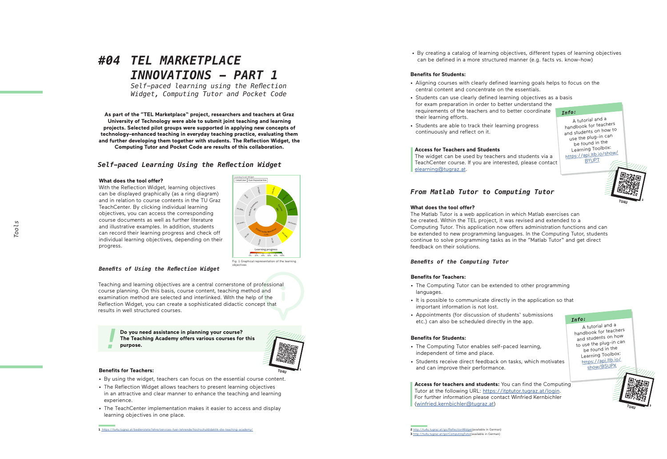# *#04 TEL MARKETPLACE INNOVATIONS - PART 1*

*Self-paced learning using the Reflection Widget, Computing Tutor and Pocket Code*

**As part of the "TEL Marketplace" project, researchers and teachers at Graz University of Technology were able to submit joint teaching and learning projects. Selected pilot groups were supported in applying new concepts of technology-enhanced teaching in everyday teaching practice, evaluating them and further developing them together with students. The Reflection Widget, the Computing Tutor and Pocket Code are results of this collaboration.**

# *Self-paced Learning Using the Reflection Widget*

#### **What does the tool offer?**

With the Reflection Widget, learning objectives can be displayed graphically (as a ring diagram) and in relation to course contents in the TU Graz TeachCenter. By clicking individual learning objectives, you can access the corresponding course documents as well as further literature and illustrative examples. In addition, students can record their learning progress and check off individual learning objectives, depending on their progress.



Fig. 1 Graphical representation of the learning objectives

# *Benefits of Using the Reflection Widget*

Teaching and learning objectives are a central cornerstone of professional course planning. On this basis, course content, teaching method and examination method are selected and interlinked. With the help of the Reflection Widget, you can create a sophisticated didactic concept that results in well structured courses.

> **Do you need assistance in planning your course? The Teaching Academy offers various courses for this purpose.**



#### **Benefits for Teachers:**

- By using the widget, teachers can focus on the essential course content. The Reflection Widget allows teachers to present learning objectives
- in an attractive and clear manner to enhance the teaching and learning experience.
- The TeachCenter implementation makes it easier to access and display learning objectives in one place.

• By creating a catalog of learning objectives, different types of learning objectives can be defined in a more structured manner (e.g. facts vs. know-how)

#### **Benefits for Students:**

- Aligning courses with clearly defined learning goals helps to focus on the central content and concentrate on the essentials.
- Students can use clearly defined learning objectives as a basis for exam preparation in order to better understand the requirements of the teachers and to better coordinate  $Info:$ their learning efforts.
- Students are able to track their learning progress continuously and reflect on it.

#### **Access for Teachers and Students**

The widget can be used by teachers and students via a TeachCenter course. If you are interested, please contact elearning@tugraz.at .

A tutorial and a handbook for teachers and students on how to use the plug-in can be found in the Learning Toolbox: https://api.ltb.io/show/ BYUPT

**2**

**TU4U**

# *From Matlab Tutor to Computing Tutor*

#### **What does the tool offer?**

The Matlab Tutor is a web application in which Matlab exercises can be created. Within the TEL project, it was revised and extended to a Computing Tutor. This application now offers administration functions and can be extended to new programming languages. In the Computing Tutor, students continue to solve programming tasks as in the "Matlab Tutor" and get direct feedback on their solutions.

#### *Benefits of the Computing Tutor*

#### **Benefits for Teachers:**

- The Computing Tutor can be extended to other programming languages.
- It is possible to communicate directly in the application so that important information is not lost.
- Appointments (for discussion of students' submissions etc.) can also be scheduled directly in the app.

#### **Benefits for Students:**

- The Computing Tutor enables self-paced learning, independent of time and place.
- Students receive direct feedback on tasks, which motivates and can improve their performance.

**Access for teachers and students:** You can find the Computing Tutor at the following URL: https://itptutor.tugraz.at/login. For further information please contact Winfried Kernbichler (winfried.kernbichler@tugraz.at)



**TU4U**

**3**

**2** http://tu4u.tugraz.at/go/ReflectionWidget(available in German) **3** http://tu4u.tugraz.at/go/ComputingTutor(available in German)